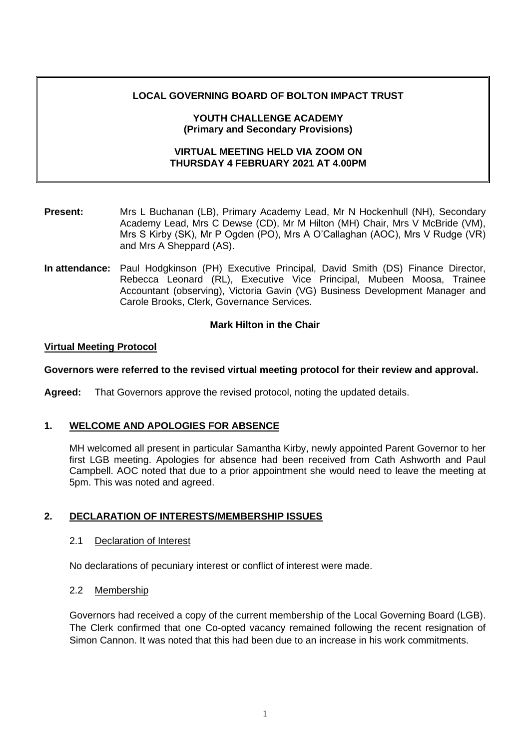## **LOCAL GOVERNING BOARD OF BOLTON IMPACT TRUST**

#### **YOUTH CHALLENGE ACADEMY (Primary and Secondary Provisions)**

## **VIRTUAL MEETING HELD VIA ZOOM ON THURSDAY 4 FEBRUARY 2021 AT 4.00PM**

- **Present:** Mrs L Buchanan (LB), Primary Academy Lead, Mr N Hockenhull (NH), Secondary Academy Lead, Mrs C Dewse (CD), Mr M Hilton (MH) Chair, Mrs V McBride (VM), Mrs S Kirby (SK), Mr P Ogden (PO), Mrs A O'Callaghan (AOC), Mrs V Rudge (VR) and Mrs A Sheppard (AS).
- **In attendance:** Paul Hodgkinson (PH) Executive Principal, David Smith (DS) Finance Director, Rebecca Leonard (RL), Executive Vice Principal, Mubeen Moosa, Trainee Accountant (observing), Victoria Gavin (VG) Business Development Manager and Carole Brooks, Clerk, Governance Services.

## **Mark Hilton in the Chair**

## **Virtual Meeting Protocol**

## **Governors were referred to the revised virtual meeting protocol for their review and approval.**

**Agreed:** That Governors approve the revised protocol, noting the updated details.

# **1. WELCOME AND APOLOGIES FOR ABSENCE**

MH welcomed all present in particular Samantha Kirby, newly appointed Parent Governor to her first LGB meeting. Apologies for absence had been received from Cath Ashworth and Paul Campbell. AOC noted that due to a prior appointment she would need to leave the meeting at 5pm. This was noted and agreed.

## **2. DECLARATION OF INTERESTS/MEMBERSHIP ISSUES**

## 2.1 Declaration of Interest

No declarations of pecuniary interest or conflict of interest were made.

## 2.2 Membership

Governors had received a copy of the current membership of the Local Governing Board (LGB). The Clerk confirmed that one Co-opted vacancy remained following the recent resignation of Simon Cannon. It was noted that this had been due to an increase in his work commitments.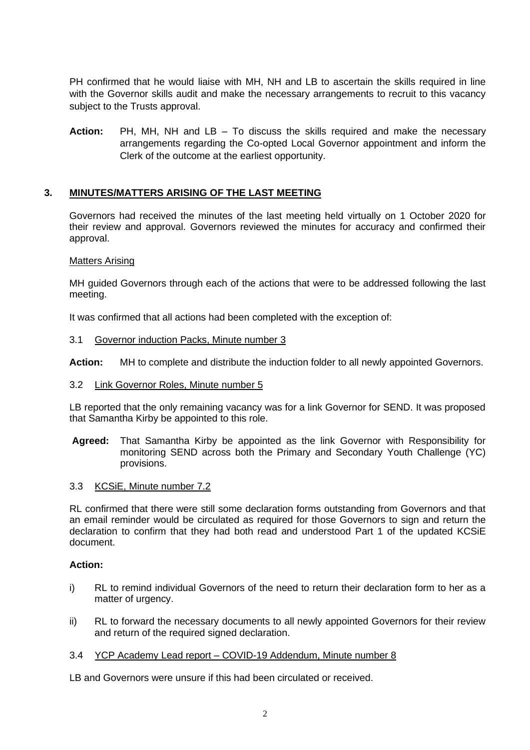PH confirmed that he would liaise with MH, NH and LB to ascertain the skills required in line with the Governor skills audit and make the necessary arrangements to recruit to this vacancy subject to the Trusts approval.

**Action:** PH, MH, NH and LB – To discuss the skills required and make the necessary arrangements regarding the Co-opted Local Governor appointment and inform the Clerk of the outcome at the earliest opportunity.

## **3. MINUTES/MATTERS ARISING OF THE LAST MEETING**

Governors had received the minutes of the last meeting held virtually on 1 October 2020 for their review and approval. Governors reviewed the minutes for accuracy and confirmed their approval.

#### Matters Arising

MH guided Governors through each of the actions that were to be addressed following the last meeting.

It was confirmed that all actions had been completed with the exception of:

#### 3.1 Governor induction Packs, Minute number 3

**Action:** MH to complete and distribute the induction folder to all newly appointed Governors.

#### 3.2 Link Governor Roles, Minute number 5

LB reported that the only remaining vacancy was for a link Governor for SEND. It was proposed that Samantha Kirby be appointed to this role.

**Agreed:** That Samantha Kirby be appointed as the link Governor with Responsibility for monitoring SEND across both the Primary and Secondary Youth Challenge (YC) provisions.

#### 3.3 KCSiE, Minute number 7.2

RL confirmed that there were still some declaration forms outstanding from Governors and that an email reminder would be circulated as required for those Governors to sign and return the declaration to confirm that they had both read and understood Part 1 of the updated KCSiE document.

#### **Action:**

- i) RL to remind individual Governors of the need to return their declaration form to her as a matter of urgency.
- ii) RL to forward the necessary documents to all newly appointed Governors for their review and return of the required signed declaration.

#### 3.4 YCP Academy Lead report – COVID-19 Addendum, Minute number 8

LB and Governors were unsure if this had been circulated or received.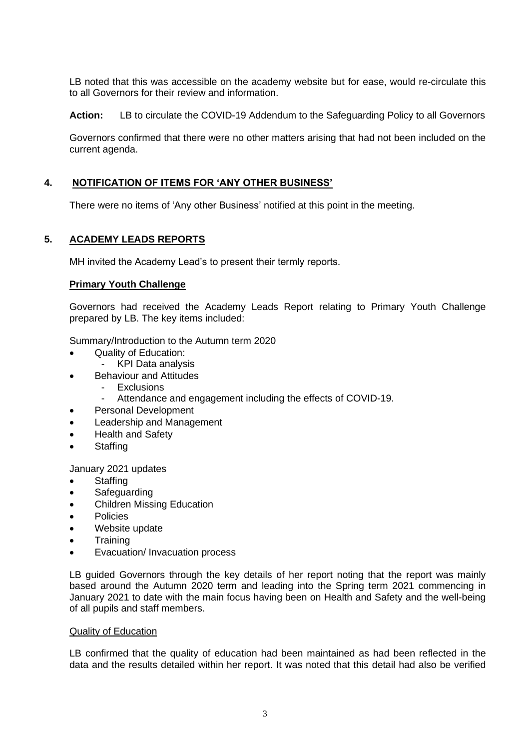LB noted that this was accessible on the academy website but for ease, would re-circulate this to all Governors for their review and information.

**Action:** LB to circulate the COVID-19 Addendum to the Safeguarding Policy to all Governors

Governors confirmed that there were no other matters arising that had not been included on the current agenda.

# **4. NOTIFICATION OF ITEMS FOR 'ANY OTHER BUSINESS'**

There were no items of 'Any other Business' notified at this point in the meeting.

# **5. ACADEMY LEADS REPORTS**

MH invited the Academy Lead's to present their termly reports.

## **Primary Youth Challenge**

Governors had received the Academy Leads Report relating to Primary Youth Challenge prepared by LB. The key items included:

Summary/Introduction to the Autumn term 2020

- Quality of Education:
	- KPI Data analysis
- Behaviour and Attitudes
	- Exclusions
	- Attendance and engagement including the effects of COVID-19.
- Personal Development
- Leadership and Management
- Health and Safety
- Staffing

January 2021 updates

- Staffing
- Safeguarding
- Children Missing Education
- Policies
- Website update
- **Training**
- Evacuation/ Invacuation process

LB guided Governors through the key details of her report noting that the report was mainly based around the Autumn 2020 term and leading into the Spring term 2021 commencing in January 2021 to date with the main focus having been on Health and Safety and the well-being of all pupils and staff members.

#### Quality of Education

LB confirmed that the quality of education had been maintained as had been reflected in the data and the results detailed within her report. It was noted that this detail had also be verified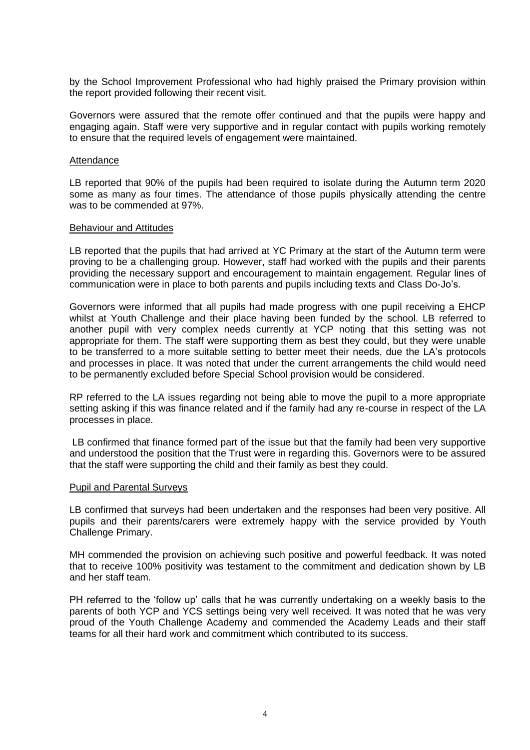by the School Improvement Professional who had highly praised the Primary provision within the report provided following their recent visit.

Governors were assured that the remote offer continued and that the pupils were happy and engaging again. Staff were very supportive and in regular contact with pupils working remotely to ensure that the required levels of engagement were maintained.

#### **Attendance**

LB reported that 90% of the pupils had been required to isolate during the Autumn term 2020 some as many as four times. The attendance of those pupils physically attending the centre was to be commended at 97%.

#### Behaviour and Attitudes

LB reported that the pupils that had arrived at YC Primary at the start of the Autumn term were proving to be a challenging group. However, staff had worked with the pupils and their parents providing the necessary support and encouragement to maintain engagement. Regular lines of communication were in place to both parents and pupils including texts and Class Do-Jo's.

Governors were informed that all pupils had made progress with one pupil receiving a EHCP whilst at Youth Challenge and their place having been funded by the school. LB referred to another pupil with very complex needs currently at YCP noting that this setting was not appropriate for them. The staff were supporting them as best they could, but they were unable to be transferred to a more suitable setting to better meet their needs, due the LA's protocols and processes in place. It was noted that under the current arrangements the child would need to be permanently excluded before Special School provision would be considered.

RP referred to the LA issues regarding not being able to move the pupil to a more appropriate setting asking if this was finance related and if the family had any re-course in respect of the LA processes in place.

LB confirmed that finance formed part of the issue but that the family had been very supportive and understood the position that the Trust were in regarding this. Governors were to be assured that the staff were supporting the child and their family as best they could.

#### Pupil and Parental Surveys

LB confirmed that surveys had been undertaken and the responses had been very positive. All pupils and their parents/carers were extremely happy with the service provided by Youth Challenge Primary.

MH commended the provision on achieving such positive and powerful feedback. It was noted that to receive 100% positivity was testament to the commitment and dedication shown by LB and her staff team.

PH referred to the 'follow up' calls that he was currently undertaking on a weekly basis to the parents of both YCP and YCS settings being very well received. It was noted that he was very proud of the Youth Challenge Academy and commended the Academy Leads and their staff teams for all their hard work and commitment which contributed to its success.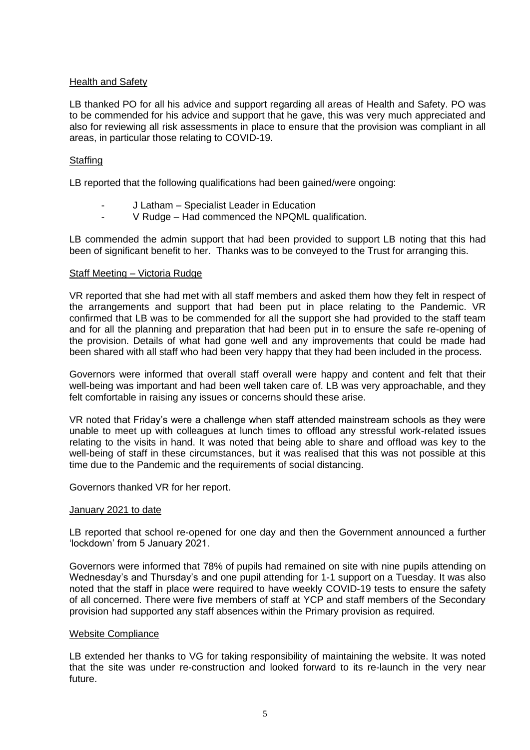## Health and Safety

LB thanked PO for all his advice and support regarding all areas of Health and Safety. PO was to be commended for his advice and support that he gave, this was very much appreciated and also for reviewing all risk assessments in place to ensure that the provision was compliant in all areas, in particular those relating to COVID-19.

## **Staffing**

LB reported that the following qualifications had been gained/were ongoing:

- J Latham Specialist Leader in Education
- V Rudge Had commenced the NPQML qualification.

LB commended the admin support that had been provided to support LB noting that this had been of significant benefit to her. Thanks was to be conveyed to the Trust for arranging this.

## Staff Meeting – Victoria Rudge

VR reported that she had met with all staff members and asked them how they felt in respect of the arrangements and support that had been put in place relating to the Pandemic. VR confirmed that LB was to be commended for all the support she had provided to the staff team and for all the planning and preparation that had been put in to ensure the safe re-opening of the provision. Details of what had gone well and any improvements that could be made had been shared with all staff who had been very happy that they had been included in the process.

Governors were informed that overall staff overall were happy and content and felt that their well-being was important and had been well taken care of. LB was very approachable, and they felt comfortable in raising any issues or concerns should these arise.

VR noted that Friday's were a challenge when staff attended mainstream schools as they were unable to meet up with colleagues at lunch times to offload any stressful work-related issues relating to the visits in hand. It was noted that being able to share and offload was key to the well-being of staff in these circumstances, but it was realised that this was not possible at this time due to the Pandemic and the requirements of social distancing.

Governors thanked VR for her report.

#### January 2021 to date

LB reported that school re-opened for one day and then the Government announced a further 'lockdown' from 5 January 2021.

Governors were informed that 78% of pupils had remained on site with nine pupils attending on Wednesday's and Thursday's and one pupil attending for 1-1 support on a Tuesday. It was also noted that the staff in place were required to have weekly COVID-19 tests to ensure the safety of all concerned. There were five members of staff at YCP and staff members of the Secondary provision had supported any staff absences within the Primary provision as required.

#### Website Compliance

LB extended her thanks to VG for taking responsibility of maintaining the website. It was noted that the site was under re-construction and looked forward to its re-launch in the very near future.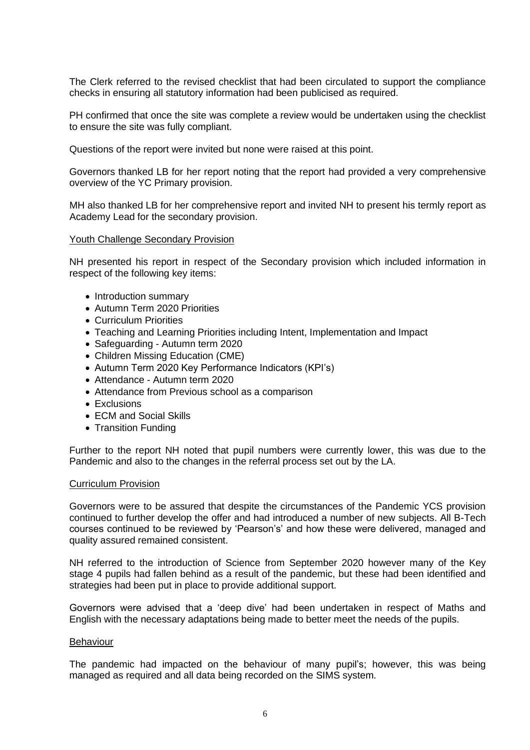The Clerk referred to the revised checklist that had been circulated to support the compliance checks in ensuring all statutory information had been publicised as required.

PH confirmed that once the site was complete a review would be undertaken using the checklist to ensure the site was fully compliant.

Questions of the report were invited but none were raised at this point.

Governors thanked LB for her report noting that the report had provided a very comprehensive overview of the YC Primary provision.

MH also thanked LB for her comprehensive report and invited NH to present his termly report as Academy Lead for the secondary provision.

#### Youth Challenge Secondary Provision

NH presented his report in respect of the Secondary provision which included information in respect of the following key items:

- Introduction summary
- Autumn Term 2020 Priorities
- Curriculum Priorities
- Teaching and Learning Priorities including Intent, Implementation and Impact
- Safeguarding Autumn term 2020
- Children Missing Education (CME)
- Autumn Term 2020 Key Performance Indicators (KPI's)
- Attendance Autumn term 2020
- Attendance from Previous school as a comparison
- Exclusions
- ECM and Social Skills
- Transition Funding

Further to the report NH noted that pupil numbers were currently lower, this was due to the Pandemic and also to the changes in the referral process set out by the LA.

#### Curriculum Provision

Governors were to be assured that despite the circumstances of the Pandemic YCS provision continued to further develop the offer and had introduced a number of new subjects. All B-Tech courses continued to be reviewed by 'Pearson's' and how these were delivered, managed and quality assured remained consistent.

NH referred to the introduction of Science from September 2020 however many of the Key stage 4 pupils had fallen behind as a result of the pandemic, but these had been identified and strategies had been put in place to provide additional support.

Governors were advised that a 'deep dive' had been undertaken in respect of Maths and English with the necessary adaptations being made to better meet the needs of the pupils.

#### Behaviour

The pandemic had impacted on the behaviour of many pupil's; however, this was being managed as required and all data being recorded on the SIMS system.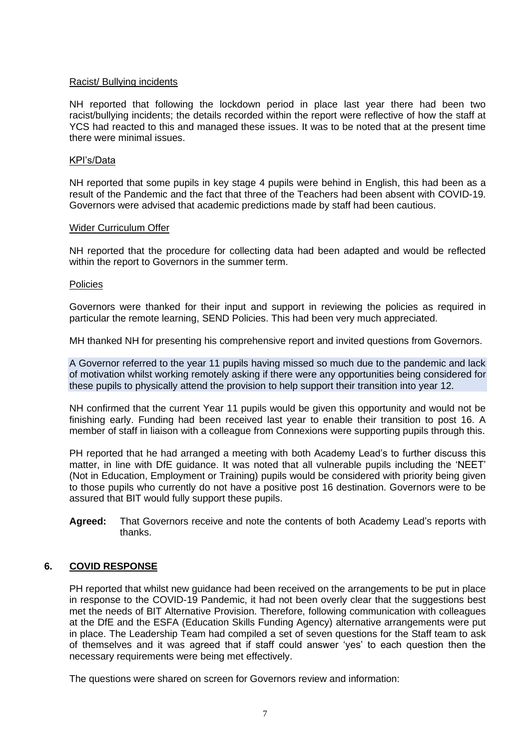#### Racist/ Bullying incidents

NH reported that following the lockdown period in place last year there had been two racist/bullying incidents; the details recorded within the report were reflective of how the staff at YCS had reacted to this and managed these issues. It was to be noted that at the present time there were minimal issues.

#### KPI's/Data

NH reported that some pupils in key stage 4 pupils were behind in English, this had been as a result of the Pandemic and the fact that three of the Teachers had been absent with COVID-19. Governors were advised that academic predictions made by staff had been cautious.

#### Wider Curriculum Offer

NH reported that the procedure for collecting data had been adapted and would be reflected within the report to Governors in the summer term.

#### **Policies**

Governors were thanked for their input and support in reviewing the policies as required in particular the remote learning, SEND Policies. This had been very much appreciated.

MH thanked NH for presenting his comprehensive report and invited questions from Governors.

A Governor referred to the year 11 pupils having missed so much due to the pandemic and lack of motivation whilst working remotely asking if there were any opportunities being considered for these pupils to physically attend the provision to help support their transition into year 12.

NH confirmed that the current Year 11 pupils would be given this opportunity and would not be finishing early. Funding had been received last year to enable their transition to post 16. A member of staff in liaison with a colleague from Connexions were supporting pupils through this.

PH reported that he had arranged a meeting with both Academy Lead's to further discuss this matter, in line with DfE guidance. It was noted that all vulnerable pupils including the 'NEET' (Not in Education, Employment or Training) pupils would be considered with priority being given to those pupils who currently do not have a positive post 16 destination. Governors were to be assured that BIT would fully support these pupils.

**Agreed:** That Governors receive and note the contents of both Academy Lead's reports with thanks.

## **6. COVID RESPONSE**

PH reported that whilst new guidance had been received on the arrangements to be put in place in response to the COVID-19 Pandemic, it had not been overly clear that the suggestions best met the needs of BIT Alternative Provision. Therefore, following communication with colleagues at the DfE and the ESFA (Education Skills Funding Agency) alternative arrangements were put in place. The Leadership Team had compiled a set of seven questions for the Staff team to ask of themselves and it was agreed that if staff could answer 'yes' to each question then the necessary requirements were being met effectively.

The questions were shared on screen for Governors review and information: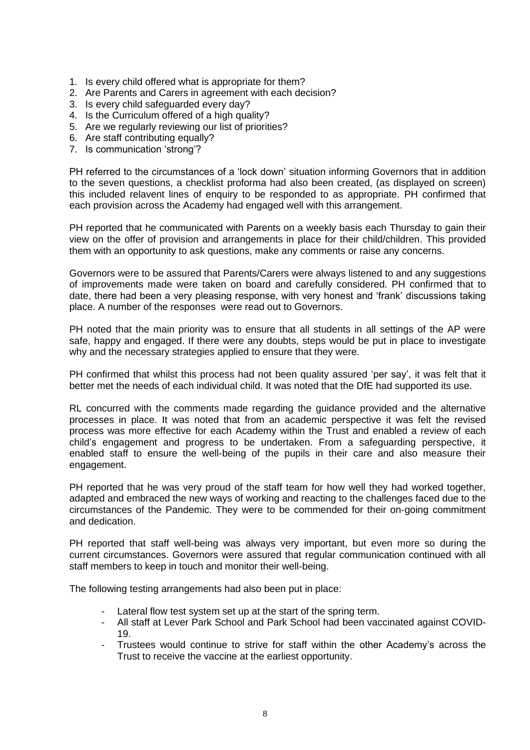- 1. Is every child offered what is appropriate for them?
- 2. Are Parents and Carers in agreement with each decision?
- 3. Is every child safeguarded every day?
- 4. Is the Curriculum offered of a high quality?
- 5. Are we regularly reviewing our list of priorities?
- 6. Are staff contributing equally?
- 7. Is communication 'strong'?

PH referred to the circumstances of a 'lock down' situation informing Governors that in addition to the seven questions, a checklist proforma had also been created, (as displayed on screen) this included relavent lines of enquiry to be responded to as appropriate. PH confirmed that each provision across the Academy had engaged well with this arrangement.

PH reported that he communicated with Parents on a weekly basis each Thursday to gain their view on the offer of provision and arrangements in place for their child/children. This provided them with an opportunity to ask questions, make any comments or raise any concerns.

Governors were to be assured that Parents/Carers were always listened to and any suggestions of improvements made were taken on board and carefully considered. PH confirmed that to date, there had been a very pleasing response, with very honest and 'frank' discussions taking place. A number of the responses were read out to Governors.

PH noted that the main priority was to ensure that all students in all settings of the AP were safe, happy and engaged. If there were any doubts, steps would be put in place to investigate why and the necessary strategies applied to ensure that they were.

PH confirmed that whilst this process had not been quality assured 'per say', it was felt that it better met the needs of each individual child. It was noted that the DfE had supported its use.

RL concurred with the comments made regarding the guidance provided and the alternative processes in place. It was noted that from an academic perspective it was felt the revised process was more effective for each Academy within the Trust and enabled a review of each child's engagement and progress to be undertaken. From a safeguarding perspective, it enabled staff to ensure the well-being of the pupils in their care and also measure their engagement.

PH reported that he was very proud of the staff team for how well they had worked together, adapted and embraced the new ways of working and reacting to the challenges faced due to the circumstances of the Pandemic. They were to be commended for their on-going commitment and dedication.

PH reported that staff well-being was always very important, but even more so during the current circumstances. Governors were assured that regular communication continued with all staff members to keep in touch and monitor their well-being.

The following testing arrangements had also been put in place:

- Lateral flow test system set up at the start of the spring term.
- All staff at Lever Park School and Park School had been vaccinated against COVID-19.
- Trustees would continue to strive for staff within the other Academy's across the Trust to receive the vaccine at the earliest opportunity.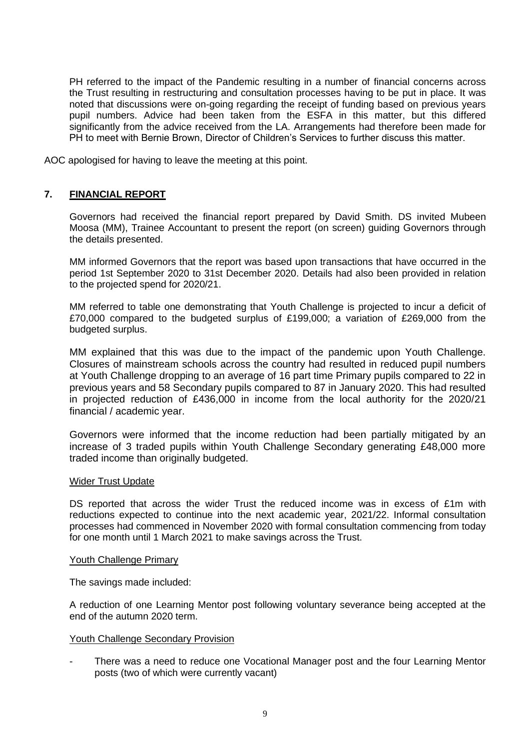PH referred to the impact of the Pandemic resulting in a number of financial concerns across the Trust resulting in restructuring and consultation processes having to be put in place. It was noted that discussions were on-going regarding the receipt of funding based on previous years pupil numbers. Advice had been taken from the ESFA in this matter, but this differed significantly from the advice received from the LA. Arrangements had therefore been made for PH to meet with Bernie Brown, Director of Children's Services to further discuss this matter.

AOC apologised for having to leave the meeting at this point.

## **7. FINANCIAL REPORT**

Governors had received the financial report prepared by David Smith. DS invited Mubeen Moosa (MM), Trainee Accountant to present the report (on screen) guiding Governors through the details presented.

MM informed Governors that the report was based upon transactions that have occurred in the period 1st September 2020 to 31st December 2020. Details had also been provided in relation to the projected spend for 2020/21.

MM referred to table one demonstrating that Youth Challenge is projected to incur a deficit of £70,000 compared to the budgeted surplus of £199,000; a variation of £269,000 from the budgeted surplus.

MM explained that this was due to the impact of the pandemic upon Youth Challenge. Closures of mainstream schools across the country had resulted in reduced pupil numbers at Youth Challenge dropping to an average of 16 part time Primary pupils compared to 22 in previous years and 58 Secondary pupils compared to 87 in January 2020. This had resulted in projected reduction of £436,000 in income from the local authority for the 2020/21 financial / academic year.

Governors were informed that the income reduction had been partially mitigated by an increase of 3 traded pupils within Youth Challenge Secondary generating £48,000 more traded income than originally budgeted.

#### Wider Trust Update

DS reported that across the wider Trust the reduced income was in excess of £1m with reductions expected to continue into the next academic year, 2021/22. Informal consultation processes had commenced in November 2020 with formal consultation commencing from today for one month until 1 March 2021 to make savings across the Trust.

#### Youth Challenge Primary

The savings made included:

A reduction of one Learning Mentor post following voluntary severance being accepted at the end of the autumn 2020 term.

#### Youth Challenge Secondary Provision

There was a need to reduce one Vocational Manager post and the four Learning Mentor posts (two of which were currently vacant)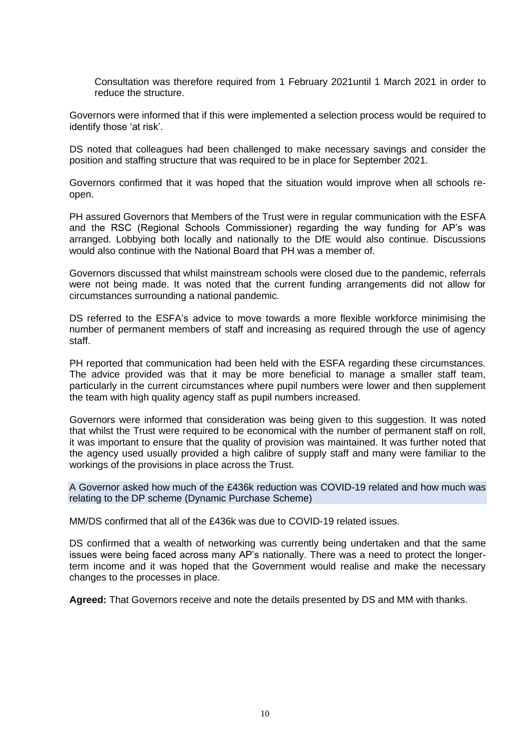Consultation was therefore required from 1 February 2021until 1 March 2021 in order to reduce the structure.

Governors were informed that if this were implemented a selection process would be required to identify those 'at risk'.

DS noted that colleagues had been challenged to make necessary savings and consider the position and staffing structure that was required to be in place for September 2021.

Governors confirmed that it was hoped that the situation would improve when all schools reopen.

PH assured Governors that Members of the Trust were in regular communication with the ESFA and the RSC (Regional Schools Commissioner) regarding the way funding for AP's was arranged. Lobbying both locally and nationally to the DfE would also continue. Discussions would also continue with the National Board that PH was a member of.

Governors discussed that whilst mainstream schools were closed due to the pandemic, referrals were not being made. It was noted that the current funding arrangements did not allow for circumstances surrounding a national pandemic.

DS referred to the ESFA's advice to move towards a more flexible workforce minimising the number of permanent members of staff and increasing as required through the use of agency staff.

PH reported that communication had been held with the ESFA regarding these circumstances. The advice provided was that it may be more beneficial to manage a smaller staff team, particularly in the current circumstances where pupil numbers were lower and then supplement the team with high quality agency staff as pupil numbers increased.

Governors were informed that consideration was being given to this suggestion. It was noted that whilst the Trust were required to be economical with the number of permanent staff on roll, it was important to ensure that the quality of provision was maintained. It was further noted that the agency used usually provided a high calibre of supply staff and many were familiar to the workings of the provisions in place across the Trust.

A Governor asked how much of the £436k reduction was COVID-19 related and how much was relating to the DP scheme (Dynamic Purchase Scheme)

MM/DS confirmed that all of the £436k was due to COVID-19 related issues.

DS confirmed that a wealth of networking was currently being undertaken and that the same issues were being faced across many AP's nationally. There was a need to protect the longerterm income and it was hoped that the Government would realise and make the necessary changes to the processes in place.

**Agreed:** That Governors receive and note the details presented by DS and MM with thanks.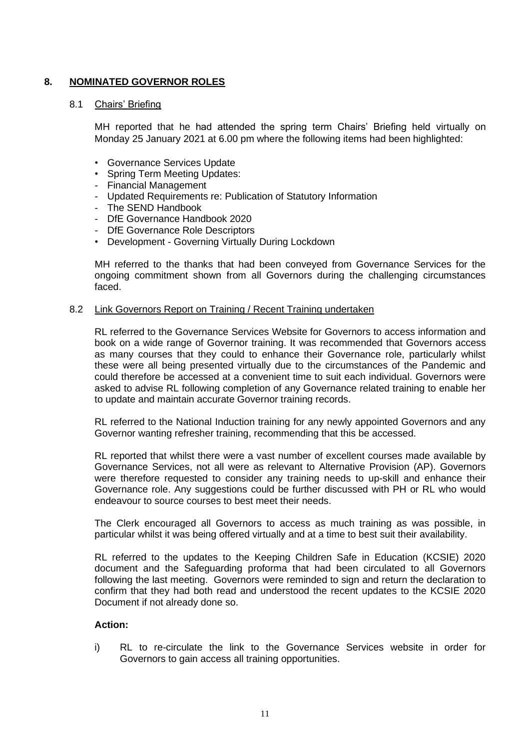# **8. NOMINATED GOVERNOR ROLES**

#### 8.1 Chairs' Briefing

MH reported that he had attended the spring term Chairs' Briefing held virtually on Monday 25 January 2021 at 6.00 pm where the following items had been highlighted:

- Governance Services Update
- Spring Term Meeting Updates:
- Financial Management
- Updated Requirements re: Publication of Statutory Information
- The SEND Handbook
- DfE Governance Handbook 2020
- DfE Governance Role Descriptors
- Development Governing Virtually During Lockdown

MH referred to the thanks that had been conveyed from Governance Services for the ongoing commitment shown from all Governors during the challenging circumstances faced.

#### 8.2 Link Governors Report on Training / Recent Training undertaken

RL referred to the Governance Services Website for Governors to access information and book on a wide range of Governor training. It was recommended that Governors access as many courses that they could to enhance their Governance role, particularly whilst these were all being presented virtually due to the circumstances of the Pandemic and could therefore be accessed at a convenient time to suit each individual. Governors were asked to advise RL following completion of any Governance related training to enable her to update and maintain accurate Governor training records.

RL referred to the National Induction training for any newly appointed Governors and any Governor wanting refresher training, recommending that this be accessed.

RL reported that whilst there were a vast number of excellent courses made available by Governance Services, not all were as relevant to Alternative Provision (AP). Governors were therefore requested to consider any training needs to up-skill and enhance their Governance role. Any suggestions could be further discussed with PH or RL who would endeavour to source courses to best meet their needs.

The Clerk encouraged all Governors to access as much training as was possible, in particular whilst it was being offered virtually and at a time to best suit their availability.

RL referred to the updates to the Keeping Children Safe in Education (KCSIE) 2020 document and the Safeguarding proforma that had been circulated to all Governors following the last meeting. Governors were reminded to sign and return the declaration to confirm that they had both read and understood the recent updates to the KCSIE 2020 Document if not already done so.

#### **Action:**

i) RL to re-circulate the link to the Governance Services website in order for Governors to gain access all training opportunities.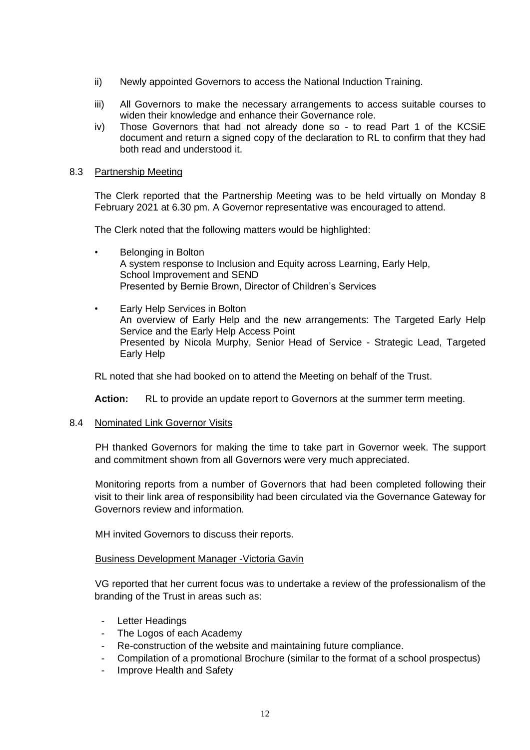- ii) Newly appointed Governors to access the National Induction Training.
- iii) All Governors to make the necessary arrangements to access suitable courses to widen their knowledge and enhance their Governance role.
- iv) Those Governors that had not already done so to read Part 1 of the KCSiE document and return a signed copy of the declaration to RL to confirm that they had both read and understood it.

#### 8.3 Partnership Meeting

The Clerk reported that the Partnership Meeting was to be held virtually on Monday 8 February 2021 at 6.30 pm. A Governor representative was encouraged to attend.

The Clerk noted that the following matters would be highlighted:

- Belonging in Bolton A system response to Inclusion and Equity across Learning, Early Help, School Improvement and SEND Presented by Bernie Brown, Director of Children's Services
- Early Help Services in Bolton An overview of Early Help and the new arrangements: The Targeted Early Help Service and the Early Help Access Point Presented by Nicola Murphy, Senior Head of Service - Strategic Lead, Targeted Early Help

RL noted that she had booked on to attend the Meeting on behalf of the Trust.

**Action:** RL to provide an update report to Governors at the summer term meeting.

8.4 Nominated Link Governor Visits

PH thanked Governors for making the time to take part in Governor week. The support and commitment shown from all Governors were very much appreciated.

Monitoring reports from a number of Governors that had been completed following their visit to their link area of responsibility had been circulated via the Governance Gateway for Governors review and information.

MH invited Governors to discuss their reports.

## Business Development Manager -Victoria Gavin

VG reported that her current focus was to undertake a review of the professionalism of the branding of the Trust in areas such as:

- Letter Headings
- The Logos of each Academy
- Re-construction of the website and maintaining future compliance.
- Compilation of a promotional Brochure (similar to the format of a school prospectus)
- Improve Health and Safety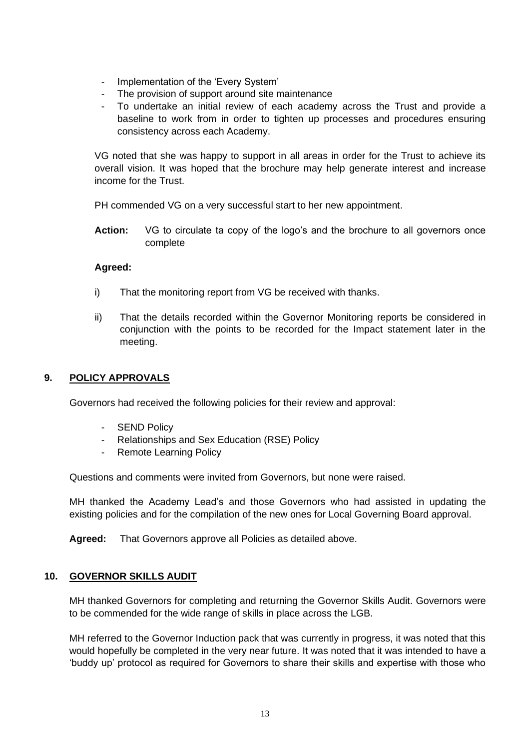- Implementation of the 'Every System'
- The provision of support around site maintenance
- To undertake an initial review of each academy across the Trust and provide a baseline to work from in order to tighten up processes and procedures ensuring consistency across each Academy.

VG noted that she was happy to support in all areas in order for the Trust to achieve its overall vision. It was hoped that the brochure may help generate interest and increase income for the Trust.

PH commended VG on a very successful start to her new appointment.

**Action:** VG to circulate ta copy of the logo's and the brochure to all governors once complete

#### **Agreed:**

- i) That the monitoring report from VG be received with thanks.
- ii) That the details recorded within the Governor Monitoring reports be considered in conjunction with the points to be recorded for the Impact statement later in the meeting.

## **9. POLICY APPROVALS**

Governors had received the following policies for their review and approval:

- SEND Policy
- Relationships and Sex Education (RSE) Policy
- Remote Learning Policy

Questions and comments were invited from Governors, but none were raised.

MH thanked the Academy Lead's and those Governors who had assisted in updating the existing policies and for the compilation of the new ones for Local Governing Board approval.

**Agreed:** That Governors approve all Policies as detailed above.

#### **10. GOVERNOR SKILLS AUDIT**

MH thanked Governors for completing and returning the Governor Skills Audit. Governors were to be commended for the wide range of skills in place across the LGB.

MH referred to the Governor Induction pack that was currently in progress, it was noted that this would hopefully be completed in the very near future. It was noted that it was intended to have a 'buddy up' protocol as required for Governors to share their skills and expertise with those who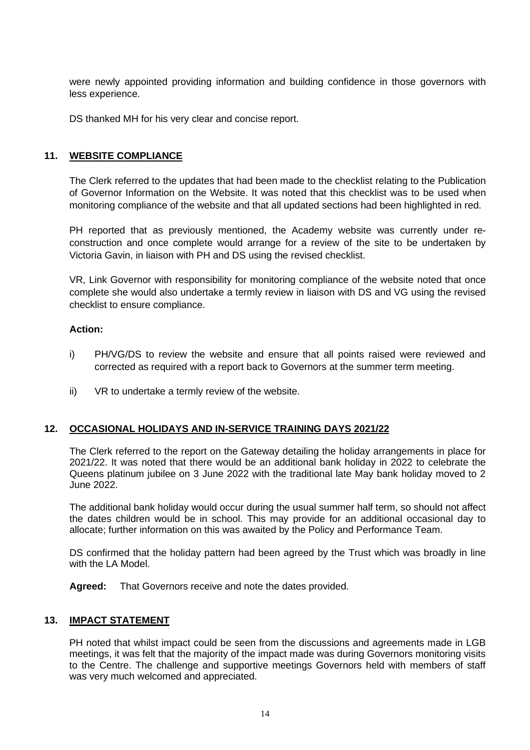were newly appointed providing information and building confidence in those governors with less experience.

DS thanked MH for his very clear and concise report.

#### **11. WEBSITE COMPLIANCE**

The Clerk referred to the updates that had been made to the checklist relating to the Publication of Governor Information on the Website. It was noted that this checklist was to be used when monitoring compliance of the website and that all updated sections had been highlighted in red.

PH reported that as previously mentioned, the Academy website was currently under reconstruction and once complete would arrange for a review of the site to be undertaken by Victoria Gavin, in liaison with PH and DS using the revised checklist.

VR, Link Governor with responsibility for monitoring compliance of the website noted that once complete she would also undertake a termly review in liaison with DS and VG using the revised checklist to ensure compliance.

#### **Action:**

- i) PH/VG/DS to review the website and ensure that all points raised were reviewed and corrected as required with a report back to Governors at the summer term meeting.
- ii) VR to undertake a termly review of the website.

## **12. OCCASIONAL HOLIDAYS AND IN-SERVICE TRAINING DAYS 2021/22**

The Clerk referred to the report on the Gateway detailing the holiday arrangements in place for 2021/22. It was noted that there would be an additional bank holiday in 2022 to celebrate the Queens platinum jubilee on 3 June 2022 with the traditional late May bank holiday moved to 2 June 2022.

The additional bank holiday would occur during the usual summer half term, so should not affect the dates children would be in school. This may provide for an additional occasional day to allocate; further information on this was awaited by the Policy and Performance Team.

DS confirmed that the holiday pattern had been agreed by the Trust which was broadly in line with the LA Model

**Agreed:** That Governors receive and note the dates provided.

## **13. IMPACT STATEMENT**

PH noted that whilst impact could be seen from the discussions and agreements made in LGB meetings, it was felt that the majority of the impact made was during Governors monitoring visits to the Centre. The challenge and supportive meetings Governors held with members of staff was very much welcomed and appreciated.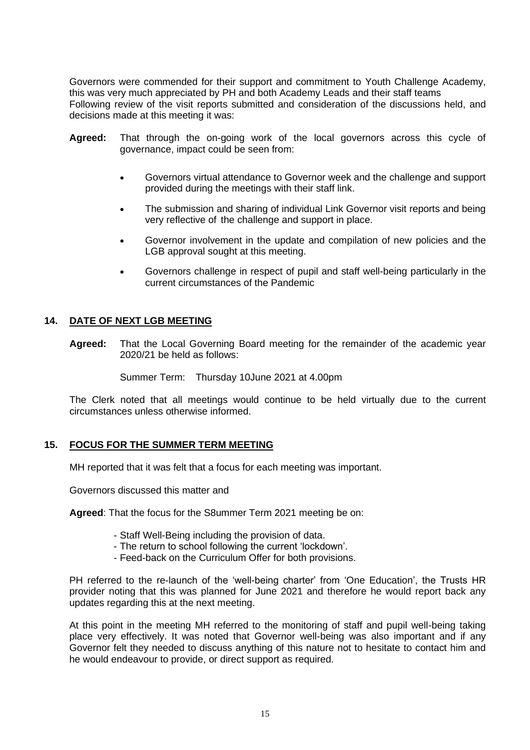Governors were commended for their support and commitment to Youth Challenge Academy, this was very much appreciated by PH and both Academy Leads and their staff teams Following review of the visit reports submitted and consideration of the discussions held, and decisions made at this meeting it was:

- **Agreed:** That through the on-going work of the local governors across this cycle of governance, impact could be seen from:
	- Governors virtual attendance to Governor week and the challenge and support provided during the meetings with their staff link.
	- The submission and sharing of individual Link Governor visit reports and being very reflective of the challenge and support in place.
	- Governor involvement in the update and compilation of new policies and the LGB approval sought at this meeting.
	- Governors challenge in respect of pupil and staff well-being particularly in the current circumstances of the Pandemic

## **14. DATE OF NEXT LGB MEETING**

**Agreed:** That the Local Governing Board meeting for the remainder of the academic year 2020/21 be held as follows:

Summer Term: Thursday 10June 2021 at 4.00pm

The Clerk noted that all meetings would continue to be held virtually due to the current circumstances unless otherwise informed.

## **15. FOCUS FOR THE SUMMER TERM MEETING**

MH reported that it was felt that a focus for each meeting was important.

Governors discussed this matter and

**Agreed**: That the focus for the S8ummer Term 2021 meeting be on:

- Staff Well-Being including the provision of data.
- The return to school following the current 'lockdown'.
- Feed-back on the Curriculum Offer for both provisions.

PH referred to the re-launch of the 'well-being charter' from 'One Education', the Trusts HR provider noting that this was planned for June 2021 and therefore he would report back any updates regarding this at the next meeting.

At this point in the meeting MH referred to the monitoring of staff and pupil well-being taking place very effectively. It was noted that Governor well-being was also important and if any Governor felt they needed to discuss anything of this nature not to hesitate to contact him and he would endeavour to provide, or direct support as required.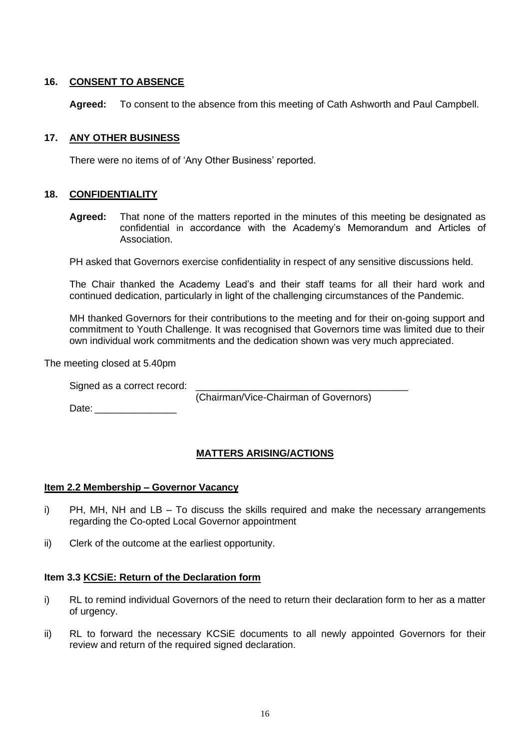# **16. CONSENT TO ABSENCE**

**Agreed:** To consent to the absence from this meeting of Cath Ashworth and Paul Campbell.

## **17. ANY OTHER BUSINESS**

There were no items of of 'Any Other Business' reported.

## **18. CONFIDENTIALITY**

**Agreed:** That none of the matters reported in the minutes of this meeting be designated as confidential in accordance with the Academy's Memorandum and Articles of Association.

PH asked that Governors exercise confidentiality in respect of any sensitive discussions held.

The Chair thanked the Academy Lead's and their staff teams for all their hard work and continued dedication, particularly in light of the challenging circumstances of the Pandemic.

MH thanked Governors for their contributions to the meeting and for their on-going support and commitment to Youth Challenge. It was recognised that Governors time was limited due to their own individual work commitments and the dedication shown was very much appreciated.

The meeting closed at 5.40pm

(Chairman/Vice-Chairman of Governors)

Date: \_\_\_\_\_\_\_\_\_\_\_\_\_\_\_

# **MATTERS ARISING/ACTIONS**

## **Item 2.2 Membership – Governor Vacancy**

- i) PH, MH, NH and LB To discuss the skills required and make the necessary arrangements regarding the Co-opted Local Governor appointment
- ii) Clerk of the outcome at the earliest opportunity.

## **Item 3.3 KCSiE: Return of the Declaration form**

- i) RL to remind individual Governors of the need to return their declaration form to her as a matter of urgency.
- ii) RL to forward the necessary KCSiE documents to all newly appointed Governors for their review and return of the required signed declaration.